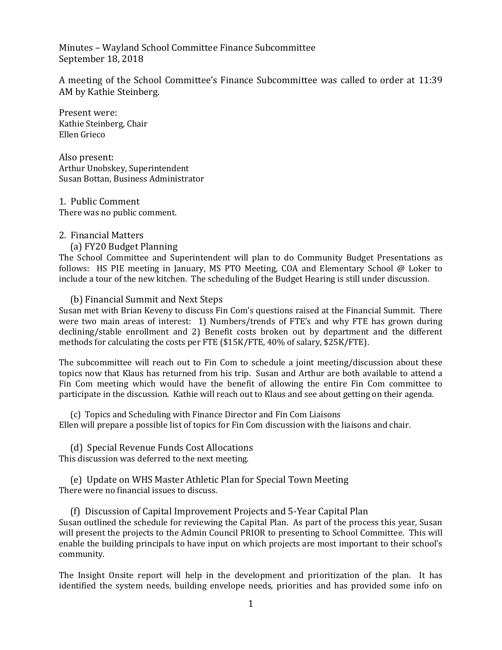Minutes – Wayland School Committee Finance Subcommittee September 18, 2018

A meeting of the School Committee's Finance Subcommittee was called to order at 11:39 AM by Kathie Steinberg.

Present were: Kathie Steinberg, Chair Ellen Grieco

Also present: Arthur Unobskey, Superintendent Susan Bottan, Business Administrator

1. Public Comment There was no public comment.

# 2. Financial Matters

(a) FY20 Budget Planning

The School Committee and Superintendent will plan to do Community Budget Presentations as follows: HS PIE meeting in January, MS PTO Meeting, COA and Elementary School @ Loker to include a tour of the new kitchen. The scheduling of the Budget Hearing is still under discussion.

# (b) Financial Summit and Next Steps

Susan met with Brian Keveny to discuss Fin Com's questions raised at the Financial Summit. There were two main areas of interest: 1) Numbers/trends of FTE's and why FTE has grown during declining/stable enrollment and 2) Benefit costs broken out by department and the different methods for calculating the costs per FTE (\$15K/FTE, 40% of salary, \$25K/FTE).

The subcommittee will reach out to Fin Com to schedule a joint meeting/discussion about these topics now that Klaus has returned from his trip. Susan and Arthur are both available to attend a Fin Com meeting which would have the benefit of allowing the entire Fin Com committee to participate in the discussion. Kathie will reach out to Klaus and see about getting on their agenda.

(c) Topics and Scheduling with Finance Director and Fin Com Liaisons Ellen will prepare a possible list of topics for Fin Com discussion with the liaisons and chair.

(d) Special Revenue Funds Cost Allocations This discussion was deferred to the next meeting.

(e) Update on WHS Master Athletic Plan for Special Town Meeting There were no financial issues to discuss.

(f) Discussion of Capital Improvement Projects and 5-Year Capital Plan Susan outlined the schedule for reviewing the Capital Plan. As part of the process this year, Susan will present the projects to the Admin Council PRIOR to presenting to School Committee. This will enable the building principals to have input on which projects are most important to their school's community.

The Insight Onsite report will help in the development and prioritization of the plan. It has identified the system needs, building envelope needs, priorities and has provided some info on